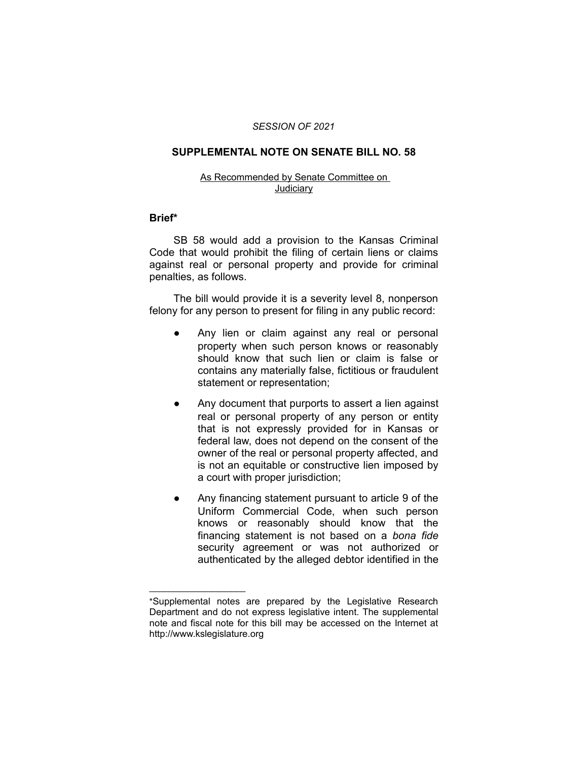### *SESSION OF 2021*

## **SUPPLEMENTAL NOTE ON SENATE BILL NO. 58**

#### As Recommended by Senate Committee on **Judiciary**

## **Brief\***

SB 58 would add a provision to the Kansas Criminal Code that would prohibit the filing of certain liens or claims against real or personal property and provide for criminal penalties, as follows.

The bill would provide it is a severity level 8, nonperson felony for any person to present for filing in any public record:

- Any lien or claim against any real or personal property when such person knows or reasonably should know that such lien or claim is false or contains any materially false, fictitious or fraudulent statement or representation;
- Any document that purports to assert a lien against real or personal property of any person or entity that is not expressly provided for in Kansas or federal law, does not depend on the consent of the owner of the real or personal property affected, and is not an equitable or constructive lien imposed by a court with proper jurisdiction;
- Any financing statement pursuant to article 9 of the Uniform Commercial Code, when such person knows or reasonably should know that the financing statement is not based on a *bona fide* security agreement or was not authorized or authenticated by the alleged debtor identified in the

 $\overline{\phantom{a}}$  , where  $\overline{\phantom{a}}$  , where  $\overline{\phantom{a}}$ 

<sup>\*</sup>Supplemental notes are prepared by the Legislative Research Department and do not express legislative intent. The supplemental note and fiscal note for this bill may be accessed on the Internet at http://www.kslegislature.org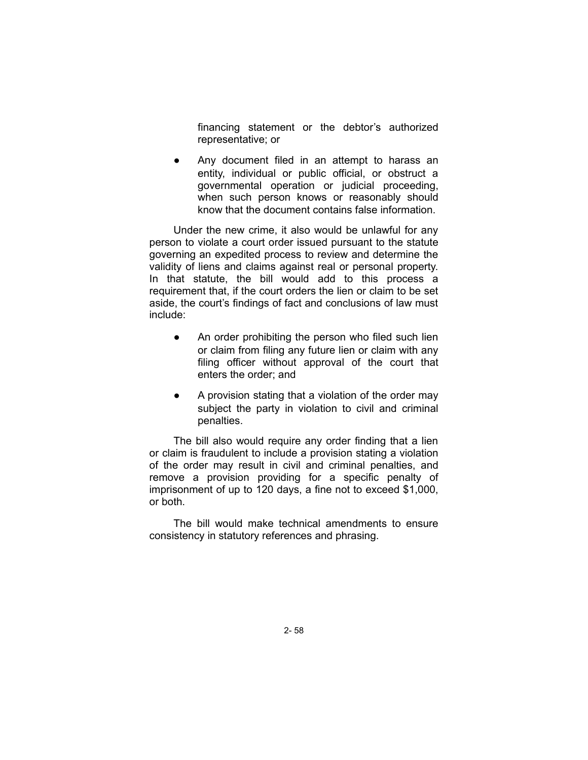financing statement or the debtor's authorized representative; or

Any document filed in an attempt to harass an entity, individual or public official, or obstruct a governmental operation or judicial proceeding, when such person knows or reasonably should know that the document contains false information.

Under the new crime, it also would be unlawful for any person to violate a court order issued pursuant to the statute governing an expedited process to review and determine the validity of liens and claims against real or personal property. In that statute, the bill would add to this process a requirement that, if the court orders the lien or claim to be set aside, the court's findings of fact and conclusions of law must include:

- An order prohibiting the person who filed such lien or claim from filing any future lien or claim with any filing officer without approval of the court that enters the order; and
- A provision stating that a violation of the order may subject the party in violation to civil and criminal penalties.

The bill also would require any order finding that a lien or claim is fraudulent to include a provision stating a violation of the order may result in civil and criminal penalties, and remove a provision providing for a specific penalty of imprisonment of up to 120 days, a fine not to exceed \$1,000, or both.

The bill would make technical amendments to ensure consistency in statutory references and phrasing.